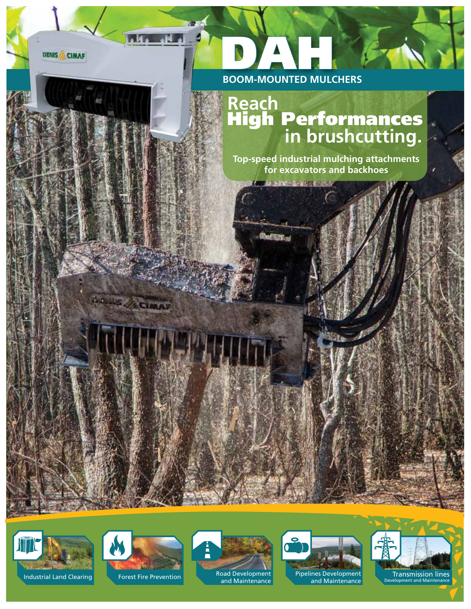**DENIS / CIMAF** 

 $\blacksquare$ 

**JOSUS** 

**ACIMAN** 



**SANCER MESSON** 

**Sheffing** 

## **Reach in brushcutting.** High Performances

**Top-speed industrial mulching attachments for excavators and backhoes**